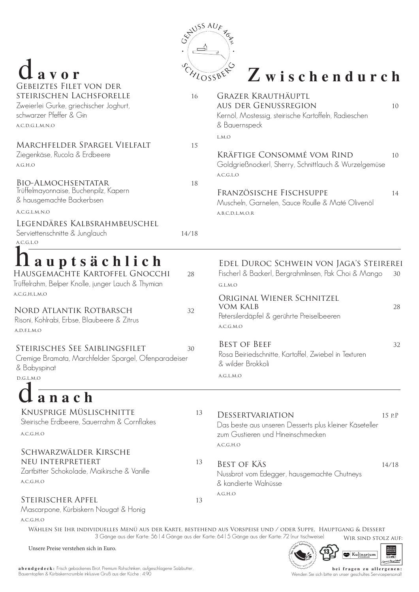**abendgedeck :** Frisch gebackenes Brot, Premium Rohschinken, aufgeschlagene Salzbutter, Bauerntopfen & Kürbiskerncrumble inklusive Gruß aus der Küche : 4,90

**h** *M*<sup>*i*</sup>*r**kultimantace***<sub>2</sub>** GENUSS<br>REGION  $\blacksquare$ Kulinarium GRAZ uss Haupt Produzent · Wirt · Gash

#### **bei fragen zu allergenen:** Wenden Sie sich bitte an unser geschultes Servicepersonal!

d **avor**

KNUSPRIGE MÜSLISCHNITTE 13 Steirische Erdbeere, Sauerrahm & Cornflakes

DESSERTVARIATION 15 P.P

Schwarzwälder Kirsche neu Interpretiert 13 Zartbitter Schokolade, Maikirsche & Vanille  $A, C, G, H, O$ 

STEIRISCHER APFEL 13 Mascarpone, Kürbiskern Nougat & Honig

 $A, C, G, H, O$ 

Wählen Sie Ihr individuelles Menü aus der Karte, bestehend aus Vorspeise und / oder Suppe, Hauptgang & Dessert 3 Gänge aus der Karte: 56 | 4 Gänge aus der Karte: 64 | 5 Gänge aus der Karte: 72 (nur tischweise) WIR SIND STOLZ AUF:

## z **wischendurch**

Das beste aus unseren Desserts plus kleiner Käseteller zum Gustieren und Hineinschmecken  $A, C, G, H, O$ 

BEST OF KÄS 14/18 Nussbrot vom Edegger, hausgemachte Chutneys & kandierte Walnüsse

 $A,G,H,O$ 



| <b>GEBEIZTES FILET VON DER</b><br>STEIRISCHEN LACHSFORELLE                                                                                                                                                                            | 16       | <b>GRAZER KRAUTHÄUPTL</b>                                                                                                                                                                                                 |          |
|---------------------------------------------------------------------------------------------------------------------------------------------------------------------------------------------------------------------------------------|----------|---------------------------------------------------------------------------------------------------------------------------------------------------------------------------------------------------------------------------|----------|
| Zweierlei Gurke, griechischer Joghurt,                                                                                                                                                                                                |          | <b>AUS DER GENUSSREGION</b>                                                                                                                                                                                               | 10       |
| schwarzer Pfeffer & Gin                                                                                                                                                                                                               |          | Kernöl, Mostessig, steirische Kartoffeln, Radieschen                                                                                                                                                                      |          |
| A, C, D, G, L, M, N, O                                                                                                                                                                                                                |          | & Bauernspeck                                                                                                                                                                                                             |          |
| MARCHFELDER SPARGEL VIELFALT<br>Ziegenkäse, Rucola & Erdbeere<br>A, G, H, O<br><b>BIO-ALMOCHSENTATAR</b><br>Trüffelmayonnaise, Buchenpilz, Kapern<br>& hausgemachte Backerbsen<br>A, C, G, L, M, N, O<br>LEGENDÄRES KALBSRAHMBEUSCHEL | 15<br>18 | L, M, O<br>Kräftige Consommé vom Rind<br>Goldgrießnockerl, Sherry, Schnittlauch & Wurzelgemüse<br>A, C, G, L, O<br>FRANZÖSISCHE FISCHSUPPE<br>Muscheln, Garnelen, Sauce Rouille & Maté Olivenöl<br>A, B, C, D, L, M, O, R | 10<br>14 |
| Serviettenschnitte & Junglauch<br>A, C, G, L, O                                                                                                                                                                                       | 14/18    |                                                                                                                                                                                                                           |          |
| Il auptsächlich<br>HAUSGEMACHTE KARTOFFEL GNOCCHI<br>Trüffelrahm, Belper Knolle, junger Lauch & Thymian                                                                                                                               | 28       | EDEL DUROC SCHWEIN VON JAGA'S STEIREREI<br>Fischerl & Backerl, Bergrahmlinsen, Pak Choi & Mango<br>G, L, M, O                                                                                                             | 30       |
| A, C, G, H, L, M, O<br>NORD ATLANTIK ROTBARSCH<br>Risoni, Kohlrabi, Erbse, Blaubeere & Zitrus<br>A, D, F, L, M, O                                                                                                                     | 32       | ORIGINAL WIENER SCHNITZEL<br>VOM KALB<br>Petersilerdäpfel & gerührte Preiselbeeren<br>A, C, G, M, O                                                                                                                       | 28       |
| STEIRISCHES SEE SAIBLINGSFILET<br>Cremige Bramata, Marchfelder Spargel, Ofenparadeiser<br>& Babyspinat<br>D,G,L,M,O                                                                                                                   | 30       | <b>BEST OF BEEF</b><br>Rosa Beiriedschnitte, Kartoffel, Zwiebel in Texturen<br>& wilder Brokkoli<br>A, G, L, M, O                                                                                                         | 32       |
| $l$ anach                                                                                                                                                                                                                             |          |                                                                                                                                                                                                                           |          |

Unsere Preise verstehen sich in Euro.